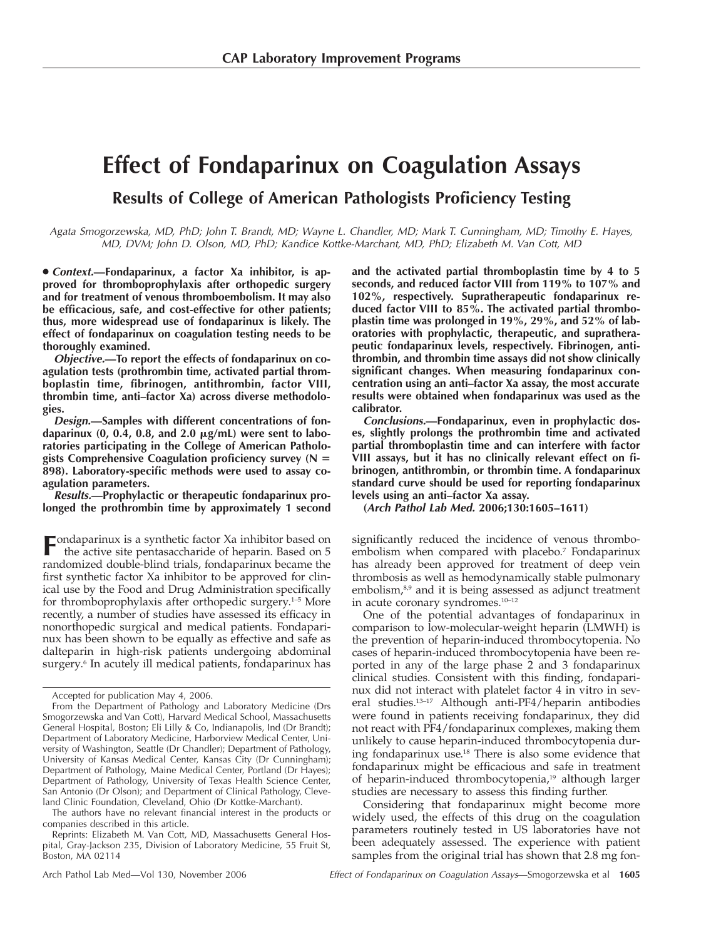# **Effect of Fondaparinux on Coagulation Assays**

**Results of College of American Pathologists Proficiency Testing**

*Agata Smogorzewska, MD, PhD; John T. Brandt, MD; Wayne L. Chandler, MD; Mark T. Cunningham, MD; Timothy E. Hayes, MD, DVM; John D. Olson, MD, PhD; Kandice Kottke-Marchant, MD, PhD; Elizabeth M. Van Cott, MD*

● *Context.***—Fondaparinux, a factor Xa inhibitor, is approved for thromboprophylaxis after orthopedic surgery and for treatment of venous thromboembolism. It may also be efficacious, safe, and cost-effective for other patients; thus, more widespread use of fondaparinux is likely. The effect of fondaparinux on coagulation testing needs to be thoroughly examined.**

*Objective.***—To report the effects of fondaparinux on coagulation tests (prothrombin time, activated partial thromboplastin time, fibrinogen, antithrombin, factor VIII, thrombin time, anti–factor Xa) across diverse methodologies.**

*Design.***—Samples with different concentrations of fon**daparinux (0, 0.4, 0.8, and 2.0 μg/mL) were sent to labo**ratories participating in the College of American Pathologists Comprehensive Coagulation proficiency survey (N 898). Laboratory-specific methods were used to assay coagulation parameters.**

*Results.***—Prophylactic or therapeutic fondaparinux prolonged the prothrombin time by approximately 1 second**

**F**ondaparinux is a synthetic factor Xa inhibitor based on the active site pentasaccharide of heparin. Based on 5 randomized double-blind trials, fondaparinux became the first synthetic factor Xa inhibitor to be approved for clinical use by the Food and Drug Administration specifically for thromboprophylaxis after orthopedic surgery.1–5 More recently, a number of studies have assessed its efficacy in nonorthopedic surgical and medical patients. Fondaparinux has been shown to be equally as effective and safe as dalteparin in high-risk patients undergoing abdominal surgery.<sup>6</sup> In acutely ill medical patients, fondaparinux has

The authors have no relevant financial interest in the products or companies described in this article.

Reprints: Elizabeth M. Van Cott, MD, Massachusetts General Hospital, Gray-Jackson 235, Division of Laboratory Medicine, 55 Fruit St, Boston, MA 02114

**and the activated partial thromboplastin time by 4 to 5 seconds, and reduced factor VIII from 119% to 107% and 102%, respectively. Supratherapeutic fondaparinux reduced factor VIII to 85%. The activated partial thromboplastin time was prolonged in 19%, 29%, and 52% of laboratories with prophylactic, therapeutic, and supratherapeutic fondaparinux levels, respectively. Fibrinogen, antithrombin, and thrombin time assays did not show clinically significant changes. When measuring fondaparinux concentration using an anti–factor Xa assay, the most accurate results were obtained when fondaparinux was used as the calibrator.**

*Conclusions.***—Fondaparinux, even in prophylactic doses, slightly prolongs the prothrombin time and activated partial thromboplastin time and can interfere with factor VIII assays, but it has no clinically relevant effect on fibrinogen, antithrombin, or thrombin time. A fondaparinux standard curve should be used for reporting fondaparinux levels using an anti–factor Xa assay.**

**(***Arch Pathol Lab Med.* **2006;130:1605–1611)**

significantly reduced the incidence of venous thromboembolism when compared with placebo.<sup>7</sup> Fondaparinux has already been approved for treatment of deep vein thrombosis as well as hemodynamically stable pulmonary embolism,<sup>8,9</sup> and it is being assessed as adjunct treatment in acute coronary syndromes.10–12

One of the potential advantages of fondaparinux in comparison to low-molecular-weight heparin (LMWH) is the prevention of heparin-induced thrombocytopenia. No cases of heparin-induced thrombocytopenia have been reported in any of the large phase 2 and 3 fondaparinux clinical studies. Consistent with this finding, fondaparinux did not interact with platelet factor 4 in vitro in several studies.13–17 Although anti-PF4/heparin antibodies were found in patients receiving fondaparinux, they did not react with PF4/fondaparinux complexes, making them unlikely to cause heparin-induced thrombocytopenia during fondaparinux use.18 There is also some evidence that fondaparinux might be efficacious and safe in treatment of heparin-induced thrombocytopenia,<sup>19</sup> although larger studies are necessary to assess this finding further.

Considering that fondaparinux might become more widely used, the effects of this drug on the coagulation parameters routinely tested in US laboratories have not been adequately assessed. The experience with patient samples from the original trial has shown that 2.8 mg fon-

Accepted for publication May 4, 2006.

From the Department of Pathology and Laboratory Medicine (Drs Smogorzewska and Van Cott), Harvard Medical School, Massachusetts General Hospital, Boston; Eli Lilly & Co, Indianapolis, Ind (Dr Brandt); Department of Laboratory Medicine, Harborview Medical Center, University of Washington, Seattle (Dr Chandler); Department of Pathology, University of Kansas Medical Center, Kansas City (Dr Cunningham); Department of Pathology, Maine Medical Center, Portland (Dr Hayes); Department of Pathology, University of Texas Health Science Center, San Antonio (Dr Olson); and Department of Clinical Pathology, Cleveland Clinic Foundation, Cleveland, Ohio (Dr Kottke-Marchant).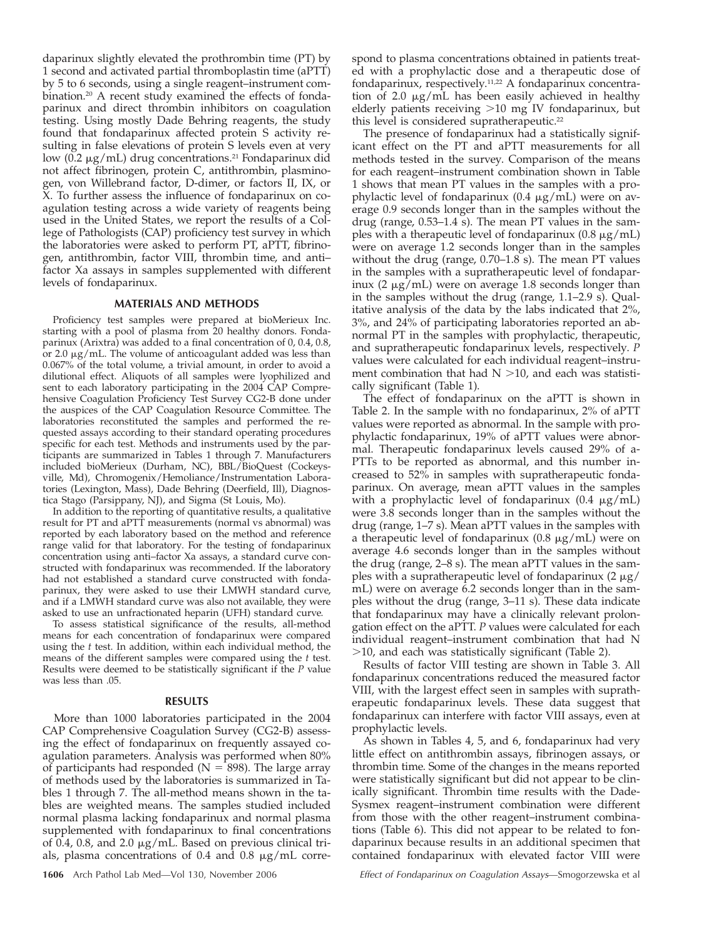daparinux slightly elevated the prothrombin time (PT) by 1 second and activated partial thromboplastin time (aPTT) by 5 to 6 seconds, using a single reagent–instrument combination.20 A recent study examined the effects of fondaparinux and direct thrombin inhibitors on coagulation testing. Using mostly Dade Behring reagents, the study found that fondaparinux affected protein S activity resulting in false elevations of protein S levels even at very low (0.2 µg/mL) drug concentrations.<sup>21</sup> Fondaparinux did not affect fibrinogen, protein C, antithrombin, plasminogen, von Willebrand factor, D-dimer, or factors II, IX, or X. To further assess the influence of fondaparinux on coagulation testing across a wide variety of reagents being used in the United States, we report the results of a College of Pathologists (CAP) proficiency test survey in which the laboratories were asked to perform PT, aPTT, fibrinogen, antithrombin, factor VIII, thrombin time, and anti– factor Xa assays in samples supplemented with different levels of fondaparinux.

### **MATERIALS AND METHODS**

Proficiency test samples were prepared at bioMerieux Inc. starting with a pool of plasma from 20 healthy donors. Fondaparinux (Arixtra) was added to a final concentration of 0, 0.4, 0.8, or 2.0  $\mu$ g/mL. The volume of anticoagulant added was less than 0.067% of the total volume, a trivial amount, in order to avoid a dilutional effect. Aliquots of all samples were lyophilized and sent to each laboratory participating in the 2004 CAP Comprehensive Coagulation Proficiency Test Survey CG2-B done under the auspices of the CAP Coagulation Resource Committee. The laboratories reconstituted the samples and performed the requested assays according to their standard operating procedures specific for each test. Methods and instruments used by the participants are summarized in Tables 1 through 7. Manufacturers included bioMerieux (Durham, NC), BBL/BioQuest (Cockeysville, Md), Chromogenix/Hemoliance/Instrumentation Laboratories (Lexington, Mass), Dade Behring (Deerfield, Ill), Diagnostica Stago (Parsippany, NJ), and Sigma (St Louis, Mo).

In addition to the reporting of quantitative results, a qualitative result for PT and aPTT measurements (normal vs abnormal) was reported by each laboratory based on the method and reference range valid for that laboratory. For the testing of fondaparinux concentration using anti–factor Xa assays, a standard curve constructed with fondaparinux was recommended. If the laboratory had not established a standard curve constructed with fondaparinux, they were asked to use their LMWH standard curve, and if a LMWH standard curve was also not available, they were asked to use an unfractionated heparin (UFH) standard curve.

To assess statistical significance of the results, all-method means for each concentration of fondaparinux were compared using the *t* test. In addition, within each individual method, the means of the different samples were compared using the *t* test. Results were deemed to be statistically significant if the *P* value was less than .05.

#### **RESULTS**

More than 1000 laboratories participated in the 2004 CAP Comprehensive Coagulation Survey (CG2-B) assessing the effect of fondaparinux on frequently assayed coagulation parameters. Analysis was performed when 80% of participants had responded ( $N = 898$ ). The large array of methods used by the laboratories is summarized in Tables 1 through 7. The all-method means shown in the tables are weighted means. The samples studied included normal plasma lacking fondaparinux and normal plasma supplemented with fondaparinux to final concentrations of 0.4, 0.8, and 2.0  $\mu$ g/mL. Based on previous clinical trials, plasma concentrations of  $0.4$  and  $0.8 \mu g/mL$  corre-

spond to plasma concentrations obtained in patients treated with a prophylactic dose and a therapeutic dose of fondaparinux, respectively.11,22 A fondaparinux concentration of 2.0  $\mu$ g/mL has been easily achieved in healthy elderly patients receiving  $>10$  mg IV fondaparinux, but this level is considered supratherapeutic.<sup>22</sup>

The presence of fondaparinux had a statistically significant effect on the PT and aPTT measurements for all methods tested in the survey. Comparison of the means for each reagent–instrument combination shown in Table 1 shows that mean PT values in the samples with a prophylactic level of fondaparinux  $(0.4 \ \mu g/mL)$  were on average 0.9 seconds longer than in the samples without the drug (range, 0.53–1.4 s). The mean PT values in the samples with a therapeutic level of fondaparinux  $(0.8 \,\mu\text{g/mL})$ were on average 1.2 seconds longer than in the samples without the drug (range, 0.70–1.8 s). The mean PT values in the samples with a supratherapeutic level of fondaparinux (2  $\mu$ g/mL) were on average 1.8 seconds longer than in the samples without the drug (range, 1.1–2.9 s). Qualitative analysis of the data by the labs indicated that 2%, 3%, and 24% of participating laboratories reported an abnormal PT in the samples with prophylactic, therapeutic, and supratherapeutic fondaparinux levels, respectively. *P* values were calculated for each individual reagent–instrument combination that had  $N > 10$ , and each was statistically significant (Table 1).

The effect of fondaparinux on the aPTT is shown in Table 2. In the sample with no fondaparinux, 2% of aPTT values were reported as abnormal. In the sample with prophylactic fondaparinux, 19% of aPTT values were abnormal. Therapeutic fondaparinux levels caused 29% of a-PTTs to be reported as abnormal, and this number increased to 52% in samples with supratherapeutic fondaparinux. On average, mean aPTT values in the samples with a prophylactic level of fondaparinux  $(0.4 \mu g/mL)$ were 3.8 seconds longer than in the samples without the drug (range, 1–7 s). Mean aPTT values in the samples with a therapeutic level of fondaparinux  $(0.8 \mu g/mL)$  were on average 4.6 seconds longer than in the samples without the drug (range, 2–8 s). The mean aPTT values in the samples with a supratherapeutic level of fondaparinux  $(2 \mu g)$ mL) were on average 6.2 seconds longer than in the samples without the drug (range, 3–11 s). These data indicate that fondaparinux may have a clinically relevant prolongation effect on the aPTT. *P* values were calculated for each individual reagent–instrument combination that had N  $>$ 10, and each was statistically significant (Table 2).

Results of factor VIII testing are shown in Table 3. All fondaparinux concentrations reduced the measured factor VIII, with the largest effect seen in samples with supratherapeutic fondaparinux levels. These data suggest that fondaparinux can interfere with factor VIII assays, even at prophylactic levels.

As shown in Tables 4, 5, and 6, fondaparinux had very little effect on antithrombin assays, fibrinogen assays, or thrombin time. Some of the changes in the means reported were statistically significant but did not appear to be clinically significant. Thrombin time results with the Dade-Sysmex reagent–instrument combination were different from those with the other reagent–instrument combinations (Table 6). This did not appear to be related to fondaparinux because results in an additional specimen that contained fondaparinux with elevated factor VIII were

**1606** Arch Pathol Lab Med—Vol 130, November 2006 *Effect of Fondaparinux on Coagulation Assays*—Smogorzewska et al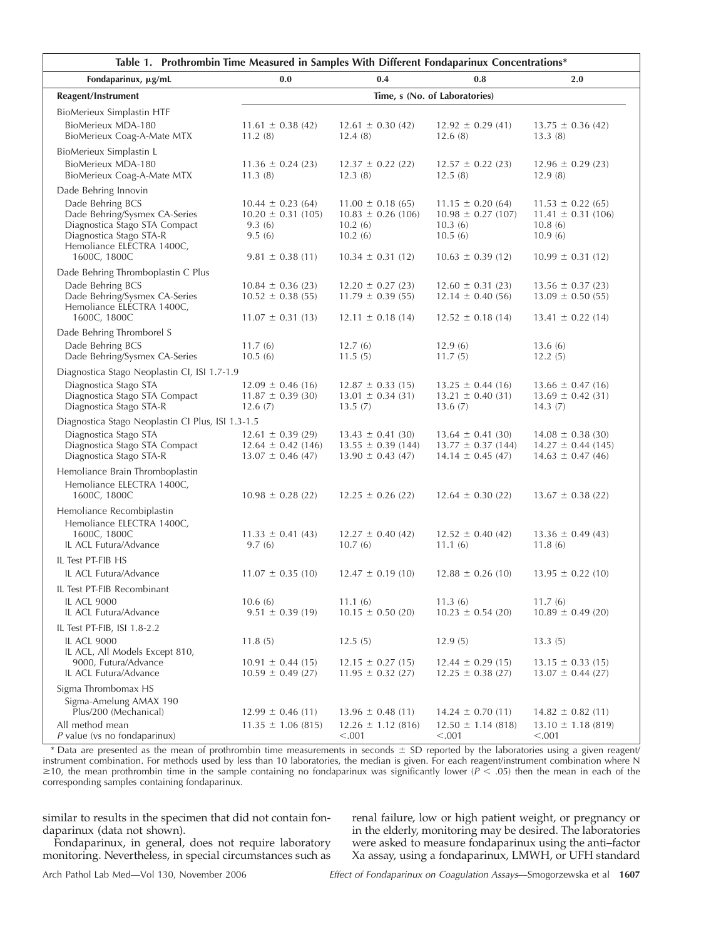| Table 1. Prothrombin Time Measured in Samples With Different Fondaparinux Concentrations*                                                  |                                                                          |                                                                          |                                                                          |                                                                         |  |  |
|--------------------------------------------------------------------------------------------------------------------------------------------|--------------------------------------------------------------------------|--------------------------------------------------------------------------|--------------------------------------------------------------------------|-------------------------------------------------------------------------|--|--|
| Fondaparinux, µg/mL                                                                                                                        | 0.0                                                                      | 0.4                                                                      | 0.8                                                                      | 2.0                                                                     |  |  |
| Reagent/Instrument                                                                                                                         | Time, s (No. of Laboratories)                                            |                                                                          |                                                                          |                                                                         |  |  |
| BioMerieux Simplastin HTF                                                                                                                  |                                                                          |                                                                          |                                                                          |                                                                         |  |  |
| BioMerieux MDA-180<br>BioMerieux Coag-A-Mate MTX                                                                                           | $11.61 \pm 0.38(42)$<br>11.2(8)                                          | $12.61 \pm 0.30(42)$<br>12.4(8)                                          | $12.92 \pm 0.29$ (41)<br>12.6(8)                                         | $13.75 \pm 0.36(42)$<br>13.3(8)                                         |  |  |
| BioMerieux Simplastin L                                                                                                                    |                                                                          |                                                                          |                                                                          |                                                                         |  |  |
| BioMerieux MDA-180<br>BioMerieux Coag-A-Mate MTX                                                                                           | $11.36 \pm 0.24$ (23)<br>11.3(8)                                         | $12.37 \pm 0.22$ (22)<br>12.3(8)                                         | $12.57 \pm 0.22$ (23)<br>12.5(8)                                         | $12.96 \pm 0.29$ (23)<br>12.9(8)                                        |  |  |
| Dade Behring Innovin                                                                                                                       |                                                                          |                                                                          |                                                                          |                                                                         |  |  |
| Dade Behring BCS<br>Dade Behring/Sysmex CA-Series<br>Diagnostica Stago STA Compact<br>Diagnostica Stago STA-R<br>Hemoliance ELECTRA 1400C, | $10.44 \pm 0.23$ (64)<br>$10.20 \pm 0.31$ (105)<br>9.3(6)<br>9.5(6)      | $11.00 \pm 0.18(65)$<br>$10.83 \pm 0.26$ (106)<br>10.2(6)<br>10.2(6)     | $11.15 \pm 0.20(64)$<br>$10.98 \pm 0.27$ (107)<br>10.3(6)<br>10.5(6)     | $11.53 \pm 0.22$ (65)<br>$11.41 \pm 0.31$ (106)<br>10.8(6)<br>10.9(6)   |  |  |
| 1600C, 1800C                                                                                                                               | $9.81 \pm 0.38$ (11)                                                     | $10.34 \pm 0.31$ (12)                                                    | $10.63 \pm 0.39$ (12)                                                    | $10.99 \pm 0.31$ (12)                                                   |  |  |
| Dade Behring Thromboplastin C Plus                                                                                                         |                                                                          |                                                                          |                                                                          |                                                                         |  |  |
| Dade Behring BCS<br>Dade Behring/Sysmex CA-Series<br>Hemoliance ELECTRA 1400C,                                                             | $10.84 \pm 0.36$ (23)<br>$10.52 \pm 0.38(55)$                            | $12.20 \pm 0.27$ (23)<br>$11.79 \pm 0.39(55)$                            | $12.60 \pm 0.31$ (23)<br>$12.14 \pm 0.40$ (56)                           | $13.56 \pm 0.37(23)$<br>$13.09 \pm 0.50(55)$                            |  |  |
| 1600C, 1800C                                                                                                                               | $11.07 \pm 0.31$ (13)                                                    | $12.11 \pm 0.18$ (14)                                                    | $12.52 \pm 0.18$ (14)                                                    | $13.41 \pm 0.22$ (14)                                                   |  |  |
| Dade Behring Thromborel S                                                                                                                  |                                                                          |                                                                          |                                                                          |                                                                         |  |  |
| Dade Behring BCS<br>Dade Behring/Sysmex CA-Series                                                                                          | 11.7(6)<br>10.5(6)                                                       | 12.7(6)<br>11.5(5)                                                       | 12.9(6)<br>11.7(5)                                                       | 13.6(6)<br>12.2(5)                                                      |  |  |
| Diagnostica Stago Neoplastin CI, ISI 1.7-1.9                                                                                               |                                                                          |                                                                          |                                                                          |                                                                         |  |  |
| Diagnostica Stago STA<br>Diagnostica Stago STA Compact<br>Diagnostica Stago STA-R                                                          | $12.09 \pm 0.46$ (16)<br>$11.87 \pm 0.39$ (30)<br>12.6(7)                | $12.87 \pm 0.33$ (15)<br>$13.01 \pm 0.34$ (31)<br>13.5(7)                | $13.25 \pm 0.44$ (16)<br>$13.21 \pm 0.40$ (31)<br>13.6(7)                | $13.66 \pm 0.47$ (16)<br>$13.69 \pm 0.42$ (31)<br>14.3(7)               |  |  |
| Diagnostica Stago Neoplastin CI Plus, ISI 1.3-1.5                                                                                          |                                                                          |                                                                          |                                                                          |                                                                         |  |  |
| Diagnostica Stago STA<br>Diagnostica Stago STA Compact<br>Diagnostica Stago STA-R                                                          | $12.61 \pm 0.39$ (29)<br>$12.64 \pm 0.42$ (146)<br>$13.07 \pm 0.46$ (47) | $13.43 \pm 0.41$ (30)<br>$13.55 \pm 0.39$ (144)<br>$13.90 \pm 0.43$ (47) | $13.64 \pm 0.41$ (30)<br>$13.77 \pm 0.37$ (144)<br>$14.14 \pm 0.45$ (47) | $14.08 \pm 0.38$ (30)<br>$14.27 \pm 0.44$ (145)<br>$14.63 \pm 0.47(46)$ |  |  |
| Hemoliance Brain Thromboplastin                                                                                                            |                                                                          |                                                                          |                                                                          |                                                                         |  |  |
| Hemoliance ELECTRA 1400C,<br>1600C, 1800C                                                                                                  | $10.98 \pm 0.28$ (22)                                                    | $12.25 \pm 0.26$ (22)                                                    | $12.64 \pm 0.30(22)$                                                     | $13.67 \pm 0.38$ (22)                                                   |  |  |
| Hemoliance Recombiplastin                                                                                                                  |                                                                          |                                                                          |                                                                          |                                                                         |  |  |
| Hemoliance ELECTRA 1400C,<br>1600C, 1800C                                                                                                  | $11.33 \pm 0.41 (43)$                                                    | $12.27 \pm 0.40(42)$                                                     | $12.52 \pm 0.40(42)$                                                     | $13.36 \pm 0.49$ (43)                                                   |  |  |
| IL ACL Futura/Advance                                                                                                                      | 9.7(6)                                                                   | 10.7(6)                                                                  | 11.1(6)                                                                  | 11.8(6)                                                                 |  |  |
| IL Test PT-FIB HS                                                                                                                          |                                                                          |                                                                          |                                                                          |                                                                         |  |  |
| IL ACL Futura/Advance                                                                                                                      | $11.07 \pm 0.35$ (10)                                                    | $12.47 \pm 0.19$ (10)                                                    | $12.88 \pm 0.26$ (10)                                                    | $13.95 \pm 0.22$ (10)                                                   |  |  |
| IL Test PT-FIB Recombinant                                                                                                                 |                                                                          |                                                                          |                                                                          |                                                                         |  |  |
| <b>IL ACL 9000</b><br>IL ACL Futura/Advance                                                                                                | 10.6(6)<br>$9.51 \pm 0.39$ (19)                                          | 11.1(6)<br>$10.15 \pm 0.50$ (20)                                         | 11.3(6)<br>$10.23 \pm 0.54$ (20)                                         | 11.7(6)<br>$10.89 \pm 0.49$ (20)                                        |  |  |
| IL Test PT-FIB, ISI 1.8-2.2                                                                                                                |                                                                          |                                                                          |                                                                          |                                                                         |  |  |
| <b>IL ACL 9000</b><br>IL ACL, All Models Except 810,                                                                                       | 11.8(5)                                                                  | 12.5(5)                                                                  | 12.9(5)                                                                  | 13.3(5)                                                                 |  |  |
| 9000, Futura/Advance<br>IL ACL Futura/Advance                                                                                              | $10.91 \pm 0.44$ (15)<br>$10.59 \pm 0.49$ (27)                           | $12.15 \pm 0.27$ (15)<br>$11.95 \pm 0.32$ (27)                           | $12.44 \pm 0.29$ (15)<br>$12.25 \pm 0.38$ (27)                           | $13.15 \pm 0.33$ (15)<br>$13.07 \pm 0.44$ (27)                          |  |  |
| Sigma Thrombomax HS                                                                                                                        |                                                                          |                                                                          |                                                                          |                                                                         |  |  |
| Sigma-Amelung AMAX 190<br>Plus/200 (Mechanical)                                                                                            | $12.99 \pm 0.46$ (11)                                                    | $13.96 \pm 0.48$ (11)                                                    | $14.24 \pm 0.70$ (11)                                                    | $14.82 \pm 0.82$ (11)                                                   |  |  |
| All method mean<br>$P$ value (vs no fondaparinux)                                                                                          | $11.35 \pm 1.06$ (815)                                                   | $12.26 \pm 1.12$ (816)<br>< 0.001                                        | $12.50 \pm 1.14 \ (818)$<br>< 0.001                                      | $13.10 \pm 1.18$ (819)<br>< 0.001                                       |  |  |

\* Data are presented as the mean of prothrombin time measurements in seconds SD reported by the laboratories using a given reagent/ instrument combination. For methods used by less than 10 laboratories, the median is given. For each reagent/instrument combination where N  $\geq$ 10, the mean prothrombin time in the sample containing no fondaparinux was significantly lower ( $P$  < .05) then the mean in each of the corresponding samples containing fondaparinux.

similar to results in the specimen that did not contain fondaparinux (data not shown).

Fondaparinux, in general, does not require laboratory monitoring. Nevertheless, in special circumstances such as

renal failure, low or high patient weight, or pregnancy or in the elderly, monitoring may be desired. The laboratories were asked to measure fondaparinux using the anti–factor Xa assay, using a fondaparinux, LMWH, or UFH standard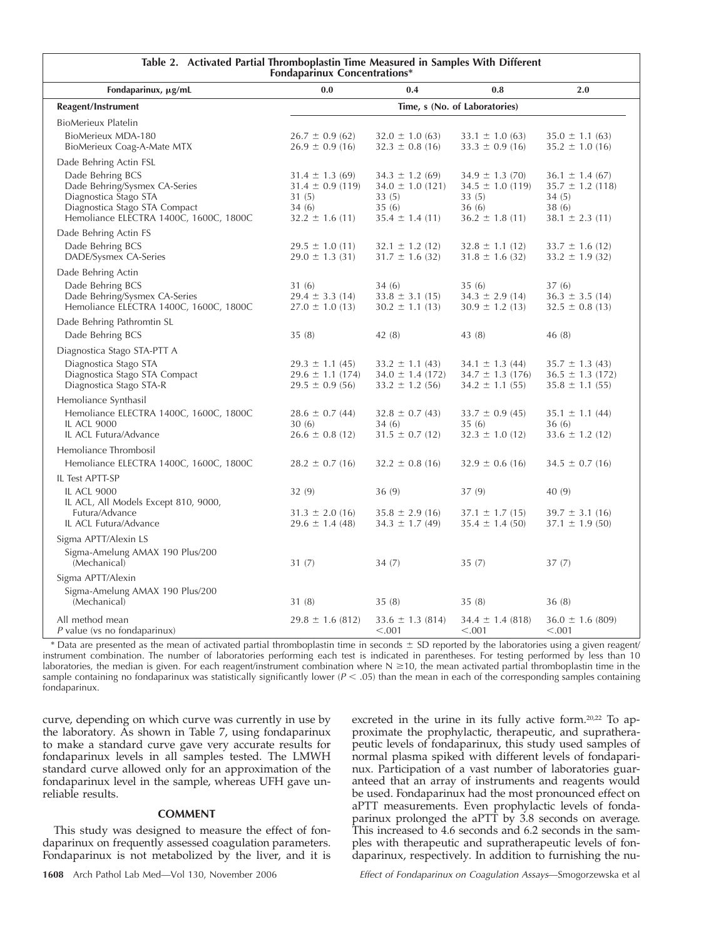| Table 2. Activated Partial Thromboplastin Time Measured in Samples With Different<br>Fondaparinux Concentrations*                                     |                                                                                      |                                                                                     |                                                                                      |                                                                                      |  |
|-------------------------------------------------------------------------------------------------------------------------------------------------------|--------------------------------------------------------------------------------------|-------------------------------------------------------------------------------------|--------------------------------------------------------------------------------------|--------------------------------------------------------------------------------------|--|
| Fondaparinux, μg/mL                                                                                                                                   | 0.0                                                                                  | 0.4                                                                                 | 0.8                                                                                  | 2.0                                                                                  |  |
| Reagent/Instrument                                                                                                                                    | Time, s (No. of Laboratories)                                                        |                                                                                     |                                                                                      |                                                                                      |  |
| <b>BioMerieux Platelin</b>                                                                                                                            |                                                                                      |                                                                                     |                                                                                      |                                                                                      |  |
| BioMerieux MDA-180<br>BioMerieux Coag-A-Mate MTX                                                                                                      | $26.7 \pm 0.9$ (62)<br>$26.9 \pm 0.9$ (16)                                           | $32.0 \pm 1.0$ (63)<br>$32.3 \pm 0.8$ (16)                                          | $33.1 \pm 1.0$ (63)<br>$33.3 \pm 0.9$ (16)                                           | $35.0 \pm 1.1$ (63)<br>$35.2 \pm 1.0$ (16)                                           |  |
| Dade Behring Actin FSL                                                                                                                                |                                                                                      |                                                                                     |                                                                                      |                                                                                      |  |
| Dade Behring BCS<br>Dade Behring/Sysmex CA-Series<br>Diagnostica Stago STA<br>Diagnostica Stago STA Compact<br>Hemoliance ELECTRA 1400C, 1600C, 1800C | $31.4 \pm 1.3$ (69)<br>$31.4 \pm 0.9$ (119)<br>31(5)<br>34(6)<br>$32.2 \pm 1.6$ (11) | $34.3 \pm 1.2$ (69)<br>$34.0 \pm 1.0$ (121)<br>33(5)<br>35(6)<br>$35.4 \pm 1.4(11)$ | $34.9 \pm 1.3$ (70)<br>$34.5 \pm 1.0$ (119)<br>33(5)<br>36(6)<br>$36.2 \pm 1.8$ (11) | $36.1 \pm 1.4$ (67)<br>$35.7 \pm 1.2$ (118)<br>34(5)<br>38(6)<br>$38.1 \pm 2.3$ (11) |  |
| Dade Behring Actin FS                                                                                                                                 |                                                                                      |                                                                                     |                                                                                      |                                                                                      |  |
| Dade Behring BCS<br>DADE/Sysmex CA-Series                                                                                                             | $29.5 \pm 1.0$ (11)<br>$29.0 \pm 1.3$ (31)                                           | $32.1 \pm 1.2$ (12)<br>$31.7 \pm 1.6$ (32)                                          | $32.8 \pm 1.1$ (12)<br>$31.8 \pm 1.6$ (32)                                           | $33.7 \pm 1.6$ (12)<br>$33.2 \pm 1.9$ (32)                                           |  |
| Dade Behring Actin                                                                                                                                    |                                                                                      |                                                                                     |                                                                                      |                                                                                      |  |
| Dade Behring BCS<br>Dade Behring/Sysmex CA-Series<br>Hemoliance ELECTRA 1400C, 1600C, 1800C                                                           | 31 (6)<br>$29.4 \pm 3.3$ (14)<br>$27.0 \pm 1.0$ (13)                                 | 34 (6)<br>$33.8 \pm 3.1$ (15)<br>$30.2 \pm 1.1$ (13)                                | 35(6)<br>$34.3 \pm 2.9$ (14)<br>$30.9 \pm 1.2$ (13)                                  | 37(6)<br>$36.3 \pm 3.5$ (14)<br>$32.5 \pm 0.8$ (13)                                  |  |
| Dade Behring Pathromtin SL                                                                                                                            |                                                                                      |                                                                                     |                                                                                      |                                                                                      |  |
| Dade Behring BCS                                                                                                                                      | 35(8)                                                                                | 42(8)                                                                               | 43 (8)                                                                               | 46(8)                                                                                |  |
| Diagnostica Stago STA-PTT A                                                                                                                           |                                                                                      |                                                                                     |                                                                                      |                                                                                      |  |
| Diagnostica Stago STA<br>Diagnostica Stago STA Compact<br>Diagnostica Stago STA-R                                                                     | $29.3 \pm 1.1 (45)$<br>$29.6 \pm 1.1$ (174)<br>$29.5 \pm 0.9$ (56)                   | $33.2 \pm 1.1$ (43)<br>$34.0 \pm 1.4$ (172)<br>$33.2 \pm 1.2$ (56)                  | $34.1 \pm 1.3$ (44)<br>$34.7 \pm 1.3$ (176)<br>$34.2 \pm 1.1$ (55)                   | $35.7 \pm 1.3$ (43)<br>$36.5 \pm 1.3$ (172)<br>$35.8 \pm 1.1$ (55)                   |  |
| Hemoliance Synthasil                                                                                                                                  |                                                                                      |                                                                                     |                                                                                      |                                                                                      |  |
| Hemoliance ELECTRA 1400C, 1600C, 1800C<br><b>IL ACL 9000</b><br>IL ACL Futura/Advance                                                                 | $28.6 \pm 0.7$ (44)<br>30(6)<br>$26.6 \pm 0.8$ (12)                                  | $32.8 \pm 0.7$ (43)<br>34 (6)<br>$31.5 \pm 0.7$ (12)                                | $33.7 \pm 0.9$ (45)<br>35(6)<br>$32.3 \pm 1.0$ (12)                                  | $35.1 \pm 1.1 (44)$<br>36(6)<br>$33.6 \pm 1.2$ (12)                                  |  |
| Hemoliance Thrombosil                                                                                                                                 |                                                                                      |                                                                                     |                                                                                      |                                                                                      |  |
| Hemoliance ELECTRA 1400C, 1600C, 1800C                                                                                                                | $28.2 \pm 0.7$ (16)                                                                  | $32.2 \pm 0.8$ (16)                                                                 | $32.9 \pm 0.6$ (16)                                                                  | $34.5 \pm 0.7$ (16)                                                                  |  |
| IL Test APTT-SP                                                                                                                                       |                                                                                      |                                                                                     |                                                                                      |                                                                                      |  |
| <b>IL ACL 9000</b><br>IL ACL, All Models Except 810, 9000,                                                                                            | 32(9)                                                                                | 36(9)                                                                               | 37(9)                                                                                | 40 (9)                                                                               |  |
| Futura/Advance<br>IL ACL Futura/Advance                                                                                                               | $31.3 \pm 2.0$ (16)<br>$29.6 \pm 1.4$ (48)                                           | $35.8 \pm 2.9$ (16)<br>$34.3 \pm 1.7$ (49)                                          | $37.1 \pm 1.7(15)$<br>$35.4 \pm 1.4$ (50)                                            | $39.7 \pm 3.1$ (16)<br>$37.1 \pm 1.9$ (50)                                           |  |
| Sigma APTT/Alexin LS                                                                                                                                  |                                                                                      |                                                                                     |                                                                                      |                                                                                      |  |
| Sigma-Amelung AMAX 190 Plus/200<br>(Mechanical)                                                                                                       | 31(7)                                                                                | 34(7)                                                                               | 35(7)                                                                                | 37(7)                                                                                |  |
| Sigma APTT/Alexin                                                                                                                                     |                                                                                      |                                                                                     |                                                                                      |                                                                                      |  |
| Sigma-Amelung AMAX 190 Plus/200<br>(Mechanical)                                                                                                       | 31(8)                                                                                | 35(8)                                                                               | 35(8)                                                                                | 36(8)                                                                                |  |
| All method mean<br>P value (vs no fondaparinux)                                                                                                       | $29.8 \pm 1.6$ (812)                                                                 | $33.6 \pm 1.3$ (814)<br>< 0.001                                                     | $34.4 \pm 1.4$ (818)<br>< 0.001                                                      | $36.0 \pm 1.6$ (809)<br>< 0.001                                                      |  |

\* Data are presented as the mean of activated partial thromboplastin time in seconds  $\pm$  SD reported by the laboratories using a given reagent/ instrument combination. The number of laboratories performing each test is indicated in parentheses. For testing performed by less than 10 laboratories, the median is given. For each reagent/instrument combination where  $N \ge 10$ , the mean activated partial thromboplastin time in the sample containing no fondaparinux was statistically significantly lower  $(P < .05)$  than the mean in each of the corresponding samples containing fondaparinux.

curve, depending on which curve was currently in use by the laboratory. As shown in Table 7, using fondaparinux to make a standard curve gave very accurate results for fondaparinux levels in all samples tested. The LMWH standard curve allowed only for an approximation of the fondaparinux level in the sample, whereas UFH gave unreliable results.

# **COMMENT**

This study was designed to measure the effect of fondaparinux on frequently assessed coagulation parameters. Fondaparinux is not metabolized by the liver, and it is

peutic levels of fondaparinux, this study used samples of normal plasma spiked with different levels of fondaparinux. Participation of a vast number of laboratories guaranteed that an array of instruments and reagents would be used. Fondaparinux had the most pronounced effect on aPTT measurements. Even prophylactic levels of fondaparinux prolonged the aPTT by 3.8 seconds on average. This increased to 4.6 seconds and 6.2 seconds in the samples with therapeutic and supratherapeutic levels of fondaparinux, respectively. In addition to furnishing the nu-

**1608** Arch Pathol Lab Med—Vol 130, November 2006 *Effect of Fondaparinux on Coagulation Assays*—Smogorzewska et al

excreted in the urine in its fully active form.20,22 To approximate the prophylactic, therapeutic, and suprathera-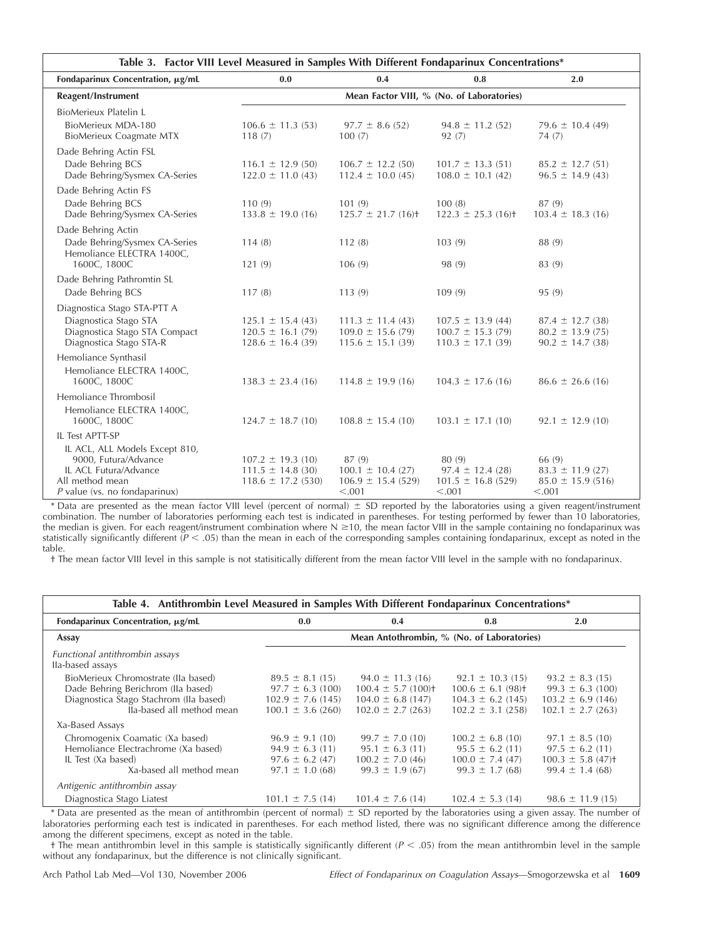| Table 3. Factor VIII Level Measured in Samples With Different Fondaparinux Concentrations*                                            |                                                                          |                                                                        |                                                                       |                                                                     |  |
|---------------------------------------------------------------------------------------------------------------------------------------|--------------------------------------------------------------------------|------------------------------------------------------------------------|-----------------------------------------------------------------------|---------------------------------------------------------------------|--|
| Fondaparinux Concentration, μg/mL                                                                                                     | 0.0                                                                      | 0.4                                                                    | 0.8                                                                   | 2.0                                                                 |  |
| Reagent/Instrument                                                                                                                    | Mean Factor VIII, % (No. of Laboratories)                                |                                                                        |                                                                       |                                                                     |  |
| <b>BioMerieux Platelin L</b><br>BioMerieux MDA-180<br>BioMerieux Coagmate MTX                                                         | $106.6 \pm 11.3$ (53)<br>118(7)                                          | $97.7 \pm 8.6$ (52)<br>100(7)                                          | $94.8 \pm 11.2$ (52)<br>92(7)                                         | 79.6 $\pm$ 10.4 (49)<br>74(7)                                       |  |
| Dade Behring Actin FSL<br>Dade Behring BCS<br>Dade Behring/Sysmex CA-Series                                                           | $116.1 \pm 12.9$ (50)<br>$122.0 \pm 11.0(43)$                            | $106.7 \pm 12.2$ (50)<br>$112.4 \pm 10.0(45)$                          | $101.7 \pm 13.3(51)$<br>$108.0 \pm 10.1$ (42)                         | $85.2 \pm 12.7(51)$<br>$96.5 \pm 14.9(43)$                          |  |
| Dade Behring Actin FS<br>Dade Behring BCS<br>Dade Behring/Sysmex CA-Series                                                            | 110(9)<br>$133.8 \pm 19.0$ (16)                                          | 101(9)<br>$125.7 \pm 21.7$ (16) <sup>+</sup>                           | 100(8)<br>$122.3 \pm 25.3$ (16) <sup>+</sup>                          | 87(9)<br>$103.4 \pm 18.3$ (16)                                      |  |
| Dade Behring Actin<br>Dade Behring/Sysmex CA-Series<br>Hemoliance ELECTRA 1400C,<br>1600C, 1800C                                      | 114(8)<br>121(9)                                                         | 112(8)<br>106(9)                                                       | 103(9)<br>98 (9)                                                      | 88 (9)<br>83 (9)                                                    |  |
| Dade Behring Pathromtin SL<br>Dade Behring BCS                                                                                        | 117(8)                                                                   | 113(9)                                                                 | 109(9)                                                                | 95 (9)                                                              |  |
| Diagnostica Stago STA-PTT A<br>Diagnostica Stago STA<br>Diagnostica Stago STA Compact<br>Diagnostica Stago STA-R                      | $125.1 \pm 15.4(43)$<br>$120.5 \pm 16.1(79)$<br>$128.6 \pm 16.4$ (39)    | $111.3 \pm 11.4(43)$<br>$109.0 \pm 15.6$ (79)<br>$115.6 \pm 15.1$ (39) | $107.5 \pm 13.9(44)$<br>$100.7 \pm 15.3(79)$<br>$110.3 \pm 17.1$ (39) | $87.4 \pm 12.7$ (38)<br>$80.2 \pm 13.9(75)$<br>$90.2 \pm 14.7$ (38) |  |
| Hemoliance Synthasil<br>Hemoliance ELECTRA 1400C,<br>1600C, 1800C                                                                     | $138.3 \pm 23.4(16)$                                                     | $114.8 \pm 19.9$ (16)                                                  | $104.3 \pm 17.6$ (16)                                                 | $86.6 \pm 26.6$ (16)                                                |  |
| Hemoliance Thrombosil<br>Hemoliance ELECTRA 1400C,<br>1600C, 1800C                                                                    | $124.7 \pm 18.7(10)$                                                     | $108.8 \pm 15.4(10)$                                                   | $103.1 \pm 17.1$ (10)                                                 | $92.1 \pm 12.9$ (10)                                                |  |
| IL Test APTT-SP                                                                                                                       |                                                                          |                                                                        |                                                                       |                                                                     |  |
| IL ACL, ALL Models Except 810,<br>9000, Futura/Advance<br>IL ACL Futura/Advance<br>All method mean<br>$P$ value (vs. no fondaparinux) | $107.2 \pm 19.3$ (10)<br>$111.5 \pm 14.8$ (30)<br>$118.6 \pm 17.2$ (530) | 87(9)<br>$100.1 \pm 10.4$ (27)<br>$106.9 \pm 15.4$ (529)<br>< .001     | 80 (9)<br>$97.4 \pm 12.4(28)$<br>$101.5 \pm 16.8$ (529)<br>< .001     | 66 (9)<br>$83.3 \pm 11.9$ (27)<br>$85.0 \pm 15.9$ (516)<br>< .001   |  |

\* Data are presented as the mean factor VIII level (percent of normal)  $\pm$  SD reported by the laboratories using a given reagent/instrument combination. The number of laboratories performing each test is indicated in parentheses. For testing performed by fewer than 10 laboratories, the median is given. For each reagent/instrument combination where N ≥10, the mean factor VIII in the sample containing no fondaparinux was statistically significantly different ( $P < .05$ ) than the mean in each of the corresponding samples containing fondaparinux, except as noted in the table.

† The mean factor VIII level in this sample is not statisitically different from the mean factor VIII level in the sample with no fondaparinux.

| Table 4. Antithrombin Level Measured in Samples With Different Fondaparinux Concentrations*                                                      |                                                                                         |                                                                                                                                 |                                                                                                |                                                                                                      |  |  |
|--------------------------------------------------------------------------------------------------------------------------------------------------|-----------------------------------------------------------------------------------------|---------------------------------------------------------------------------------------------------------------------------------|------------------------------------------------------------------------------------------------|------------------------------------------------------------------------------------------------------|--|--|
| Fondaparinux Concentration, μg/mL                                                                                                                | 0.0                                                                                     | 0.4                                                                                                                             | 0.8                                                                                            | 2.0                                                                                                  |  |  |
| Assay                                                                                                                                            | Mean Antothrombin, % (No. of Laboratories)                                              |                                                                                                                                 |                                                                                                |                                                                                                      |  |  |
| Functional antithrombin assays<br>Ila-based assays                                                                                               |                                                                                         |                                                                                                                                 |                                                                                                |                                                                                                      |  |  |
| BioMerieux Chromostrate (Ila based)<br>Dade Behring Berichrom (Ila based)<br>Diagnostica Stago Stachrom (Ila based)<br>lla-based all method mean | $97.7 \pm 6.3$ (100)<br>$102.9 \pm 7.6$ (145)<br>$100.1 \pm 3.6$ (260)                  | $89.5 \pm 8.1$ (15) $94.0 \pm 11.3$ (16)<br>$100.4 \pm 5.7$ (100) <sup>+</sup><br>$104.0 \pm 6.8$ (147)<br>$102.0 \pm 2.7(263)$ | $92.1 \pm 10.3$ (15)<br>$100.6 \pm 6.1 (98)$<br>$104.3 \pm 6.2$ (145)<br>$102.2 \pm 3.1 (258)$ | $93.2 \pm 8.3$ (15)<br>$99.3 \pm 6.3$ (100)<br>$103.2 \pm 6.9$ (146)<br>$102.1 \pm 2.7$ (263)        |  |  |
| Xa-Based Assays                                                                                                                                  |                                                                                         |                                                                                                                                 |                                                                                                |                                                                                                      |  |  |
| Chromogenix Coamatic (Xa based)<br>Hemoliance Electrachrome (Xa based)<br>IL Test (Xa based)<br>Xa-based all method mean                         | $96.9 \pm 9.1$ (10)<br>$94.9 \pm 6.3$ (11)<br>$97.6 \pm 6.2$ (47)<br>$97.1 \pm 1.0(68)$ | $99.7 \pm 7.0$ (10)<br>$95.1 \pm 6.3$ (11)<br>$100.2 \pm 7.0(46)$<br>$99.3 \pm 1.9$ (67)                                        | $100.2 \pm 6.8$ (10)<br>$95.5 \pm 6.2$ (11)<br>$100.0 \pm 7.4(47)$<br>$99.3 \pm 1.7(68)$       | $97.1 \pm 8.5(10)$<br>$97.5 \pm 6.2$ (11)<br>$100.3 \pm 5.8$ (47) <sup>+</sup><br>$99.4 \pm 1.4(68)$ |  |  |
| Antigenic antithrombin assay                                                                                                                     |                                                                                         |                                                                                                                                 |                                                                                                |                                                                                                      |  |  |
| Diagnostica Stago Liatest                                                                                                                        | $101.1 \pm 7.5(14)$                                                                     | $101.4 \pm 7.6(14)$                                                                                                             | $102.4 \pm 5.3$ (14)                                                                           | $98.6 \pm 11.9$ (15)                                                                                 |  |  |

\* Data are presented as the mean of antithrombin (percent of normal)  $\pm$  SD reported by the laboratories using a given assay. The number of laboratories performing each test is indicated in parentheses. For each method listed, there was no significant difference among the difference among the different specimens, except as noted in the table.

† The mean antithrombin level in this sample is statistically significantly different (*P* .05) from the mean antithrombin level in the sample without any fondaparinux, but the difference is not clinically significant.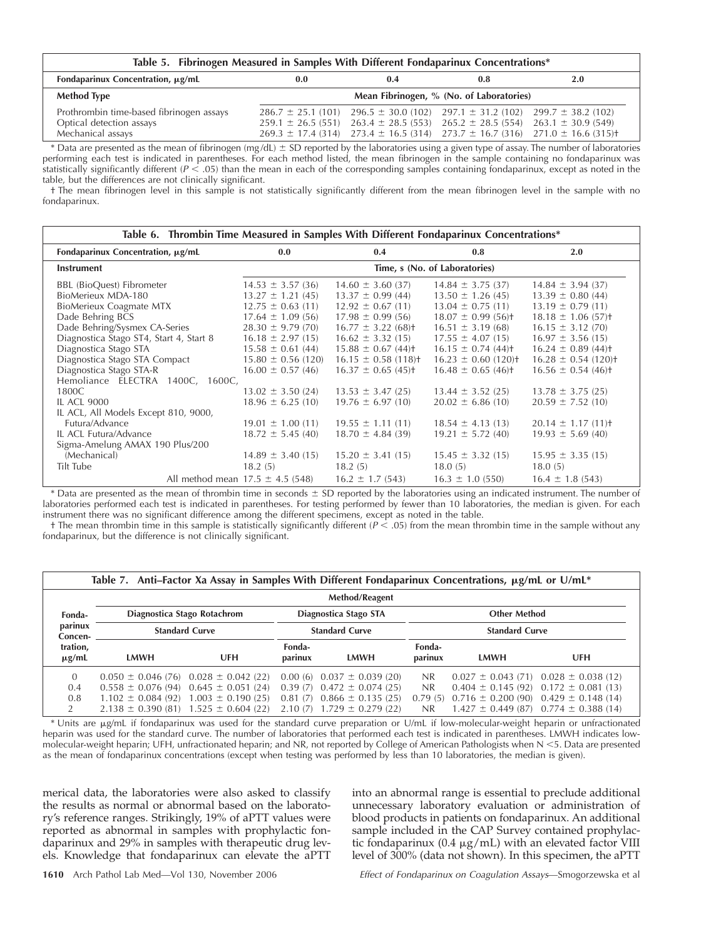| Table 5. Fibrinogen Measured in Samples With Different Fondaparinux Concentrations* |                                          |                                                                                             |  |                                                                                                          |  |  |
|-------------------------------------------------------------------------------------|------------------------------------------|---------------------------------------------------------------------------------------------|--|----------------------------------------------------------------------------------------------------------|--|--|
| Fondaparinux Concentration, µg/mL<br>0.0<br>2.0<br>0.4<br>0.8                       |                                          |                                                                                             |  |                                                                                                          |  |  |
| <b>Method Type</b>                                                                  | Mean Fibrinogen, % (No. of Laboratories) |                                                                                             |  |                                                                                                          |  |  |
| Prothrombin time-based fibrinogen assays                                            |                                          | $286.7 \pm 25.1$ (101) $296.5 \pm 30.0$ (102) $297.1 \pm 31.2$ (102) $299.7 \pm 38.2$ (102) |  |                                                                                                          |  |  |
| Optical detection assays                                                            |                                          | $259.1 \pm 26.5$ (551) $263.4 \pm 28.5$ (553) $265.2 \pm 28.5$ (554) $263.1 \pm 30.9$ (549) |  |                                                                                                          |  |  |
| Mechanical assays                                                                   |                                          |                                                                                             |  | $269.3 \pm 17.4$ (314) $273.4 \pm 16.5$ (314) $273.7 \pm 16.7$ (316) $271.0 \pm 16.6$ (315) <sup>+</sup> |  |  |

\* Data are presented as the mean of fibrinogen (mg/dL)  $\pm$  SD reported by the laboratories using a given type of assay. The number of laboratories performing each test is indicated in parentheses. For each method listed, the mean fibrinogen in the sample containing no fondaparinux was statistically significantly different (*P* .05) than the mean in each of the corresponding samples containing fondaparinux, except as noted in the table, but the differences are not clinically significant.

† The mean fibrinogen level in this sample is not statistically significantly different from the mean fibrinogen level in the sample with no fondaparinux.

| Table 6. Thrombin Time Measured in Samples With Different Fondaparinux Concentrations* |                                      |                                     |                                     |                                     |  |  |  |
|----------------------------------------------------------------------------------------|--------------------------------------|-------------------------------------|-------------------------------------|-------------------------------------|--|--|--|
| Fondaparinux Concentration, μg/mL                                                      | 0.0                                  | 0.4                                 | 0.8                                 | 2.0                                 |  |  |  |
| <b>Instrument</b>                                                                      | Time, s (No. of Laboratories)        |                                     |                                     |                                     |  |  |  |
| <b>BBL</b> (BioQuest) Fibrometer                                                       | $14.53 \pm 3.57(36)$                 | $14.60 \pm 3.60$ (37)               | $14.84 \pm 3.75(37)$                | $14.84 \pm 3.94$ (37)               |  |  |  |
| BioMerieux MDA-180                                                                     | $13.27 \pm 1.21$ (45)                | $13.37 \pm 0.99$ (44)               | $13.50 \pm 1.26$ (45)               | $13.39 \pm 0.80(44)$                |  |  |  |
| BioMerieux Coagmate MTX                                                                | $12.75 \pm 0.63$ (11)                | $12.92 \pm 0.67$ (11)               | $13.04 \pm 0.75(11)$                | $13.19 \pm 0.79$ (11)               |  |  |  |
| Dade Behring BCS                                                                       | $17.64 \pm 1.09(56)$                 | $17.98 \pm 0.99(56)$                | $18.07 \pm 0.99(56)$                | $18.18 \pm 1.06$ (57) <sup>+</sup>  |  |  |  |
| Dade Behring/Sysmex CA-Series                                                          | $28.30 \pm 9.79(70)$                 | $16.77 \pm 3.22$ (68) <sup>+</sup>  | $16.51 \pm 3.19(68)$                | $16.15 \pm 3.12(70)$                |  |  |  |
| Diagnostica Stago ST4, Start 4, Start 8                                                | $16.18 \pm 2.97(15)$                 | $16.62 \pm 3.32(15)$                | $17.55 \pm 4.07(15)$                | $16.97 \pm 3.56(15)$                |  |  |  |
| Diagnostica Stago STA                                                                  | $15.58 \pm 0.61$ (44)                | $15.88 \pm 0.67$ (44) <sup>+</sup>  | $16.15 \pm 0.74(44)$                | $16.24 \pm 0.89$ (44) <sup>+</sup>  |  |  |  |
| Diagnostica Stago STA Compact                                                          | $15.80 \pm 0.56$ (120)               | $16.15 \pm 0.58$ (118) <sup>+</sup> | $16.23 \pm 0.60$ (120) <sup>+</sup> | $16.28 \pm 0.54$ (120) <sup>+</sup> |  |  |  |
| Diagnostica Stago STA-R                                                                | $16.00 \pm 0.57(46)$                 | $16.37 \pm 0.65$ (45) <sup>+</sup>  | $16.48 \pm 0.65$ (46) <sup>+</sup>  | $16.56 \pm 0.54(46)$                |  |  |  |
| Hemoliance ELECTRA 1400C, 1600C,                                                       |                                      |                                     |                                     |                                     |  |  |  |
| 1800C                                                                                  | $13.02 \pm 3.50$ (24)                | $13.53 \pm 3.47$ (25)               | $13.44 \pm 3.52$ (25)               | $13.78 \pm 3.75$ (25)               |  |  |  |
| <b>IL ACL 9000</b>                                                                     | $18.96 \pm 6.25$ (10)                | $19.76 \pm 6.97(10)$                | $20.02 \pm 6.86$ (10)               | $20.59 \pm 7.52$ (10)               |  |  |  |
| IL ACL, All Models Except 810, 9000,                                                   |                                      |                                     |                                     |                                     |  |  |  |
| Futura/Advance                                                                         | $19.01 \pm 1.00$ (11)                | $19.55 \pm 1.11(11)$                | $18.54 \pm 4.13(13)$                | $20.14 \pm 1.17(11)$                |  |  |  |
| IL ACL Futura/Advance                                                                  | $18.72 \pm 5.45(40)$                 | $18.70 \pm 4.84$ (39)               | $19.21 \pm 5.72$ (40)               | $19.93 \pm 5.69$ (40)               |  |  |  |
| Sigma-Amelung AMAX 190 Plus/200                                                        |                                      |                                     |                                     |                                     |  |  |  |
| (Mechanical)                                                                           | $14.89 \pm 3.40(15)$                 | $15.20 \pm 3.41(15)$                | $15.45 \pm 3.32(15)$                | $15.95 \pm 3.35(15)$                |  |  |  |
| Tilt Tube                                                                              | 18.2(5)                              | 18.2(5)                             | 18.0(5)                             | 18.0(5)                             |  |  |  |
|                                                                                        | All method mean $17.5 \pm 4.5$ (548) | $16.2 \pm 1.7(543)$                 | $16.3 \pm 1.0$ (550)                | $16.4 \pm 1.8$ (543)                |  |  |  |

\* Data are presented as the mean of thrombin time in seconds SD reported by the laboratories using an indicated instrument. The number of laboratories performed each test is indicated in parentheses. For testing performed by fewer than 10 laboratories, the median is given. For each instrument there was no significant difference among the different specimens, except as noted in the table.

† The mean thrombin time in this sample is statistically significantly different (*P* .05) from the mean thrombin time in the sample without any fondaparinux, but the difference is not clinically significant.

| Table 7. Anti-Factor Xa Assay in Samples With Different Fondaparinux Concentrations, µg/mL or U/mL* |                                                                             |                                                                                                                                                                                            |                       |                                                                                                                        |                              |                                                       |                                                                                                                                                 |
|-----------------------------------------------------------------------------------------------------|-----------------------------------------------------------------------------|--------------------------------------------------------------------------------------------------------------------------------------------------------------------------------------------|-----------------------|------------------------------------------------------------------------------------------------------------------------|------------------------------|-------------------------------------------------------|-------------------------------------------------------------------------------------------------------------------------------------------------|
|                                                                                                     | Method/Reagent                                                              |                                                                                                                                                                                            |                       |                                                                                                                        |                              |                                                       |                                                                                                                                                 |
| Fonda-                                                                                              | Diagnostica Stago STA<br><b>Other Method</b><br>Diagnostica Stago Rotachrom |                                                                                                                                                                                            |                       |                                                                                                                        |                              |                                                       |                                                                                                                                                 |
| parinux<br>Concen-                                                                                  | <b>Standard Curve</b><br><b>Standard Curve</b>                              |                                                                                                                                                                                            | <b>Standard Curve</b> |                                                                                                                        |                              |                                                       |                                                                                                                                                 |
| tration,<br>$\mu$ g/mL                                                                              | LMWH                                                                        | UFH                                                                                                                                                                                        | Fonda-<br>parinux     | <b>LMWH</b>                                                                                                            | Fonda-<br>parinux            | LMWH                                                  | UFH                                                                                                                                             |
| $\Omega$<br>0.4<br>0.8<br>2                                                                         |                                                                             | $0.050 \pm 0.046$ (76) $0.028 \pm 0.042$ (22)<br>$0.558 \pm 0.076(94)$ $0.645 \pm 0.051(24)$<br>$1.102 \pm 0.084(92)$ $1.003 \pm 0.190(25)$<br>$2.138 \pm 0.390(81)$ $1.525 \pm 0.604(22)$ | 0.00(6)<br>0.81(7)    | $0.037 \pm 0.039$ (20)<br>$0.39(7)$ $0.472 \pm 0.074(25)$<br>$0.866 \pm 0.135(25)$<br>$2.10(7)$ 1.729 $\pm$ 0.279 (22) | NR.<br>N <sub>R</sub><br>NR. | $0.79(5)$ $0.716 \pm 0.200(90)$ $0.429 \pm 0.148(14)$ | $0.027 \pm 0.043$ (71) $0.028 \pm 0.038$ (12)<br>$0.404 \pm 0.145$ (92) $0.172 \pm 0.081$ (13)<br>$1.427 \pm 0.449$ (87) $0.774 \pm 0.388$ (14) |

\* Units are µg/mL if fondaparinux was used for the standard curve preparation or U/mL if low-molecular-weight heparin or unfractionated heparin was used for the standard curve. The number of laboratories that performed each test is indicated in parentheses. LMWH indicates lowmolecular-weight heparin; UFH, unfractionated heparin; and NR, not reported by College of American Pathologists when N <5. Data are presented as the mean of fondaparinux concentrations (except when testing was performed by less than 10 laboratories, the median is given).

merical data, the laboratories were also asked to classify the results as normal or abnormal based on the laboratory's reference ranges. Strikingly, 19% of aPTT values were reported as abnormal in samples with prophylactic fondaparinux and 29% in samples with therapeutic drug levels. Knowledge that fondaparinux can elevate the aPTT into an abnormal range is essential to preclude additional unnecessary laboratory evaluation or administration of blood products in patients on fondaparinux. An additional sample included in the CAP Survey contained prophylactic fondaparinux (0.4  $\mu$ g/mL) with an elevated factor VIII level of 300% (data not shown). In this specimen, the aPTT

**1610** Arch Pathol Lab Med—Vol 130, November 2006 *Effect of Fondaparinux on Coagulation Assays*—Smogorzewska et al